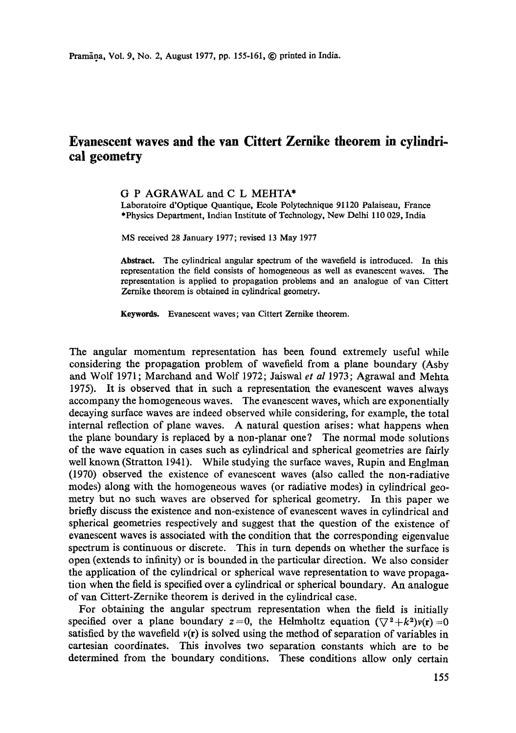# **Evanescent waves and the van Cittert Zernike theorem in cylindrical geometry**

## G P AGRAWAL and C L MEHTA\*

Laboratoire d'Optique Quantique, Ecole Polytechnique 91120 Palaiseau, France \*Physics Department, Indian Institute of Technology, New Delhi 110 029, India

MS received 28 January 1977; revised 13 May 1977

**Abstract.** The cylindrical angular spectrum of the wavefield is introduced. In this representation the field consists of homogeneous as well as evanescent waves. The representation is applied to propagation problems and an analogue of van Cittert Zernike theorem is obtained in cylindrical geometry.

**Keywords.** Evanescent waves; van Cittert Zernike theorem.

The angular momentum representation has been found extremely useful while considering the propagation problem of wavefield from a plane boundary (Asby and Wolf 1971; Marchand and Wolf 1972; Jaiswal *et al* 1973; Agrawal and Mehta 1975). It is observed that in such a representation the evanescent waves always accompany the homogeneous waves. The evanescent waves, which are exponentially decaying surface waves are indeed observed while considering, for example, the total internal reflection of plane waves. A natural question arises: what happens when the plane boundary is replaced by a non-planar one? The normal mode solutions of the wave equation in cases such as cylindrical and spherical geometries are fairly well known (Stratton 1941). While studying the surface waves, Rupin and Englman (1970) observed the existence of evanescent waves (also called the non-radiative modes) along with the homogeneous waves (or radiative modes) in cylindrical geometry but no such waves are observed for spherical geometry. In this paper we briefly discuss the existence and non-existence of evanescent waves in cylindrical and spherical geometries respectively and suggest that the question of the existence of evanescent waves is associated with the condition that the corresponding eigenvalue spectrum is continuous or discrete. This in turn depends on whether the surface is open (extends to infinity) or is bounded in the particular direction. We also consider the application of the cylindrical or spherical wave representation to wave propagation when the field is specified over a cylindrical or spherical boundary. An analogue of van Cittert-Zernike theorem is derived in the cylindrical case.

For obtaining the angular spectrum representation when the field is initially specified over a plane boundary  $z=0$ , the Helmholtz equation  $(\nabla^2 + k^2)v(r)=0$ satisfied by the wavefield  $v(r)$  is solved using the method of separation of variables in cartesian coordinates. This involves two separation constants which are to be determined from the boundary conditions. These conditions allow only certain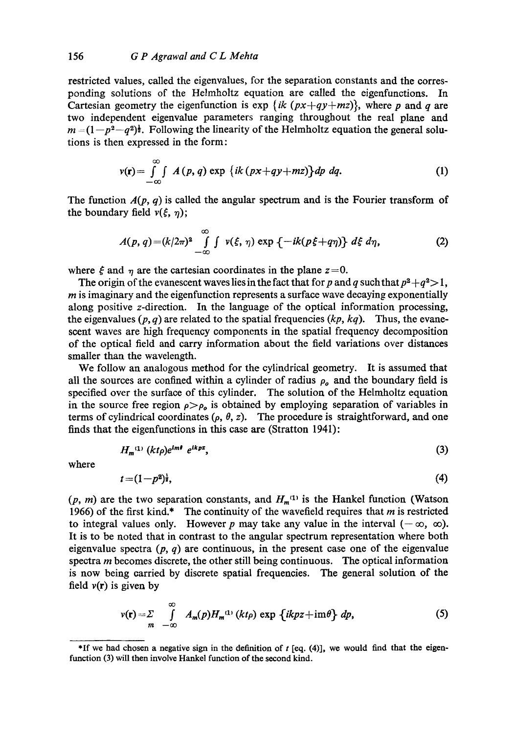restricted values, called the eigenvalues, for the separation constants and the corresponding solutions of the Helmholtz equation are called the eigenfunctions. In Cartesian geometry the eigenfunction is  $\exp\{ik(px+qy+mg)\}\$ , where p and q are two independent eigenvalue parameters ranging throughout the real plane and  $m = (1-p^2-q^2)$ . Following the linearity of the Helmholtz equation the general solutions is then expressed in the form:

$$
v(\mathbf{r}) = \int_{-\infty}^{\infty} \int A(p, q) \exp \{ik (px+qy+ mz)\} dp dq.
$$
 (1)

The function  $A(p, q)$  is called the angular spectrum and is the Fourier transform of the boundary field  $v(\xi, \eta)$ ;

$$
A(p,q)=(k/2\pi)^2\int_{-\infty}^{\infty}\int v(\xi,\,\eta)\exp\left\{-ik(p\xi+q\eta)\right\}\,d\xi\,d\eta,\qquad (2)
$$

where  $\xi$  and  $\eta$  are the cartesian coordinates in the plane  $z=0$ .

The origin of the evanescent waves lies in the fact that for p and q such that  $p^2 + q^2 > 1$ ,  *is imaginary and the eigenfunction represents a surface wave decaying exponentially* along positive z-direction. In the language of the optical information processing, the eigenvalues  $(p, q)$  are related to the spatial frequencies  $(kp, kq)$ . Thus, the evanescent waves are high frequency components in the spatial frequency decomposition of the optical field and carry information about the field variations over distances smaller than the wavelength.

We follow an analogous method for the cylindrical geometry. It is assumed that all the sources are confined within a cylinder of radius  $\rho_o$  and the boundary field is specified over the surface of this cylinder. The solution of the Helmholtz equation in the source free region  $\rho > \rho_o$  is obtained by employing separation of variables in terms of cylindrical coordinates ( $\rho$ ,  $\theta$ , z). The procedure is straightforward, and one finds that the eigenfunetions in this case are (Stratton 1941):

$$
H_m^{(1)}\left(kt\rho\right)e^{im\theta}e^{ikpz},\tag{3}
$$

where

$$
t = (1 - p2)\frac{1}{2},
$$
 (4)

 $(p, m)$  are the two separation constants, and  $H_m^{(1)}$  is the Hankel function (Watson 1966) of the first kind.\* The continuity of the wavefield requires that  $m$  is restricted to integral values only. However p may take any value in the interval  $(-\infty, \infty)$ . It is to be noted that in contrast to the angular spectrum representation where both eigenvalue spectra  $(p, q)$  are continuous, in the present case one of the eigenvalue spectra  $m$  becomes discrete, the other still being continuous. The optical information is now being carried by discrete spatial frequencies. The general solution of the field  $v(r)$  is given by

$$
v(\mathbf{r}) = \sum_{m} \int_{-\infty}^{\infty} A_{m}(p) H_{m}^{(1)}(kt\rho) \exp \{ikpz + \mathrm{im}\theta\} dp,
$$
 (5)

<sup>\*</sup>If we had chosen a negative sign in the definition of  $t$  [eq. (4)], we would find that the eigenfunction (3) will then involve Hankel function of the second kind.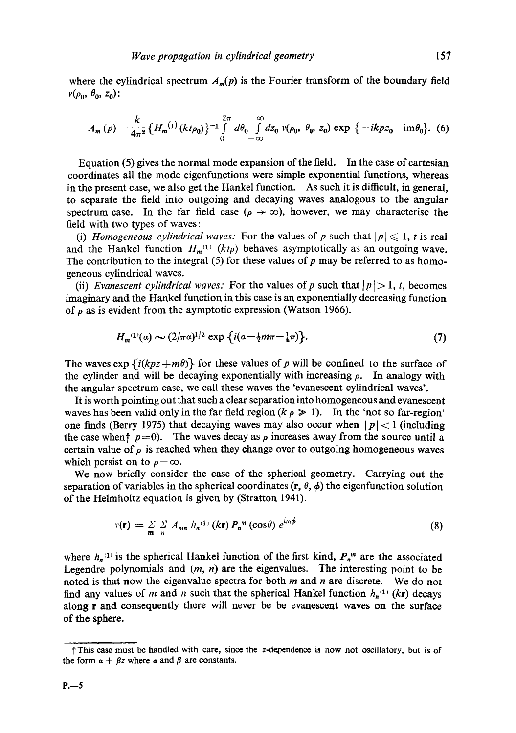where the cylindrical spectrum  $A_m(p)$  is the Fourier transform of the boundary field  $v(\rho_0, \theta_0, z_0)$ :

$$
A_m(p) = \frac{k}{4\pi^2} \left\{ H_m^{(1)}(kt\rho_0) \right\}^{-1} \int_0^{2\pi} d\theta_0 \int_{-\infty}^{\infty} dz_0 \; v(\rho_0, \; \theta_0, \; z_0) \exp \left\{ -ikpz_0 - im\theta_0 \right\} . \tag{6}
$$

Equation (5) gives the normal mode expansion of the field. In the case of cartesian coordinates all the mode eigenfunctions were simple exponential functions, whereas in the present case, we also get the Hankel function. As such it is ditfieult, in general, to separate the field into outgoing and decaying waves analogous to the angular spectrum case. In the far field case ( $\rho \to \infty$ ), however, we may characterise the field with two types of waves:

(i) *Homogeneous cylindrical waves:* For the values of p such that  $|p| \leq 1$ , t is real and the Hankel function  $H_m^{(1)}$  ( $kt\rho$ ) behaves asymptotically as an outgoing wave. The contribution to the integral  $(5)$  for these values of p may be referred to as homogeneous cylindrical waves.

(ii) *Evanescent cylindrical waves:* For the values of p such that  $|p| > 1$ , t, becomes imaginary and the Hankel function in this case is an exponentially decreasing function of  $\rho$  as is evident from the aymptotic expression (Watson 1966).

$$
H_m^{(1)}(a) \sim (2/\pi a)^{1/2} \exp\left\{i(a-\frac{1}{2}m\pi - \frac{1}{4}\pi)\right\}.
$$
 (7)

The waves  $\exp\{i(kpz+m\theta)\}\$  for these values of p will be confined to the surface of the cylinder and will be decaying exponentially with increasing  $\rho$ . In analogy with the angular spectrum case, we call these waves the 'evanescent cylindrical waves'.

It is worth pointing out that such a clear separation into homogeneous and evanescent waves has been valid only in the far field region ( $k \rho \ge 1$ ). In the 'not so far-region' one finds (Berry 1975) that decaying waves may also occur when  $|p| < 1$  (including the case when  $p=0$ . The waves decay as  $\rho$  increases away from the source until a certain value of  $\rho$  is reached when they change over to outgoing homogeneous waves which persist on to  $\rho = \infty$ .

We now briefly consider the case of the spherical geometry. Carrying out the separation of variables in the spherical coordinates  $(r, \theta, \phi)$  the eigenfunction solution of the Helmholtz equation is given by (Stratton 1941).

$$
v(\mathbf{r}) = \sum_{m} \sum_{n} A_{mn} h_n^{(1)}(k\mathbf{r}) P_n^{m}(\cos\theta) e^{in\phi}
$$
 (8)

where  $h_n^{(1)}$  is the spherical Hankel function of the first kind,  $P_n^m$  are the associated Legendre polynomials and  $(m, n)$  are the eigenvalues. The interesting point to be noted is that now the eigenvalue spectra for both  $m$  and  $n$  are discrete. We do not find any values of m and n such that the spherical Hankel function  $h_n^{(1)}$  (kr) decays along r and consequently there will never be be evanescent waves on the surface of the sphere.

tThis case must be handled with care, since the z-dependence is now not oscillatory, but is of the form  $\alpha + \beta z$  where  $\alpha$  and  $\beta$  are constants.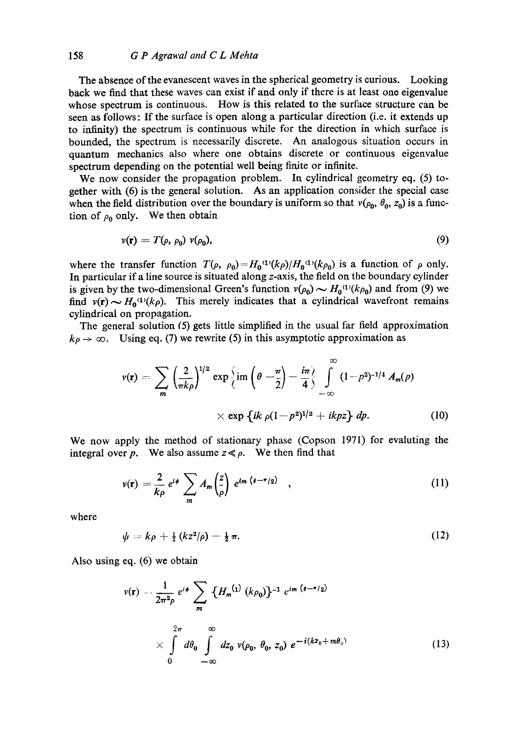## 158 *G P Agrawal and C L Mehta*

The absence of the evanescent waves in the spherical geometry is curious. Looking back we find that these waves can exist if and only if there is at least ono eigenvalue whose spectrum is continuous. How is this related to the surface structure can be seen as follows: If the surface is open along a particular direction (i.e. it extends up to infinity) the spectrum is continuous while for the direction in which surface is bounded, the spectrum is necessarily discrete. An analogous situation occurs in quantum mechanics also where one obtains discrete or continuous eigenvalue spectrum depending on the potential well being finite or infinite.

We now consider the propagation problem. In cylindrical geometry eq. (5) together with (6) is the general solution. As an application consider the special case when the field distribution over the boundary is uniform so that  $v(\rho_0, \theta_0, z_0)$  is a function of  $\rho_0$  only. We then obtain

$$
v(\mathbf{r}) = T(\rho, \rho_0) v(\rho_0), \tag{9}
$$

where the transfer function  $T(\rho, \rho_0) = H_0^{(1)}(k\rho)/H_0^{(1)}(k\rho_0)$  is a function of  $\rho$  only. In particular if a line source is situated along z-axis, the field on the boundary cylinder is given by the two-dimensional Green's function  $v(\rho_0) \sim H_0^{(1)}(k\rho_0)$  and from (9) we find  $v(r) \sim H_0^{(1)}(k\rho)$ . This merely indicates that a cylindrical wavefront remains cylindrical on propagation.

The general solution (5) gets little simplified in the usual far field approximation  $k_p \rightarrow \infty$ . Using eq. (7) we rewrite (5) in this asymptotic approximation as

$$
v(\mathbf{r}) = \sum_{m} \left(\frac{2}{\pi k \rho}\right)^{1/2} \exp \left\{im \left(\theta - \frac{\pi}{2}\right) - \frac{i\pi}{4}\right\} \int_{-\infty}^{\infty} (1 - p^2)^{-1/4} A_m(p) \times \exp \left\{ik \rho (1 - p^2)^{1/2} + ikpz\right\} dp.
$$
 (10)

We now apply the method of stationary phase (Copson 1971) for evaluting the integral over p. We also assume  $z \ll \rho$ . We then find that

$$
v(\mathbf{r}) = \frac{2}{k\rho} e^{i\phi} \sum_{m} A_{m} \left(\frac{z}{\rho}\right) e^{im \left(\theta - \pi/2\right)} \quad , \tag{11}
$$

where

$$
\psi = k\rho + \frac{1}{2}(kz^2/\rho) - \frac{1}{2}\pi. \tag{12}
$$

Also using eq. (6) we obtain

$$
\nu(\mathbf{r}) - \frac{1}{2\pi^2 \rho} e^{i\phi} \sum_{m} \{H_m^{(1)} (k\rho_0)\}^{-1} e^{im (b - \pi/2)}
$$
  
 
$$
\times \int_{0}^{2\pi} d\theta_0 \int_{-\infty}^{\infty} dz_0 \nu(\rho_0, \theta_0, z_0) e^{-i(kz_0 + m\theta_0)}
$$
(13)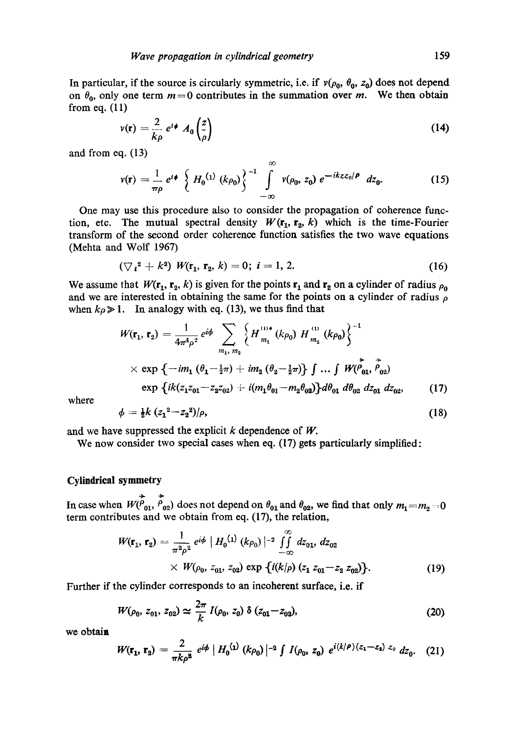In particular, if the source is circularly symmetric, i.e. if  $v(\rho_0, \theta_0, z_0)$  does not depend on  $\theta_0$ , only one term  $m = 0$  contributes in the summation over m. We then obtain from eq. (11)

$$
v(\mathbf{r}) = \frac{2}{k\rho} e^{i\phi} A_0 \left(\frac{z}{\rho}\right) \tag{14}
$$

and from eq. (13)

$$
v(\mathbf{r}) = \frac{1}{\pi \rho} e^{i\phi} \left\{ H_0^{(1)}(k\rho_0) \right\}^{-1} \int_{-\infty}^{\infty} v(\rho_0, z_0) e^{-ikz z_0/\rho} dz_0.
$$
 (15)

One may use this procedure also to consider the propagation of coherence function, etc. The mutual spectral density  $W(\mathbf{r}_1, \mathbf{r}_2, k)$  which is the time-Fourier transform of the second order coherence function satisfies the two wave equations (Mehta and Wolf 1967)

$$
(\nabla_i^2 + k^2) W(\mathbf{r}_1, \mathbf{r}_2, k) = 0; i = 1, 2.
$$
 (16)

We assume that  $W(\mathbf{r}_1, \mathbf{r}_2, k)$  is given for the points  $\mathbf{r}_1$  and  $\mathbf{r}_2$  on a cylinder of radius  $\rho_0$ and we are interested in obtaining the same for the points on a cylinder of radius  $\rho$ when  $k\rho \gg 1$ . In analogy with eq. (13), we thus find that

$$
W(\mathbf{r}_1, \mathbf{r}_2) = \frac{1}{4\pi^4 \rho^2} e^{i\phi} \sum_{m_1, m_2} \left\{ H_{m_1}^{(1)*}(k\rho_0) H_{m_2}^{(1)}(k\rho_0) \right\}^{-1}
$$
  
× exp {-*im*<sub>1</sub> ( $\theta_1 - \frac{1}{2}\pi$ ) + *im*<sub>2</sub> ( $\theta_2 - \frac{1}{2}\pi$ )}  $\int ... \int W(\vec{P_{01}}, \vec{P_{02}})$   
exp {*ik*( $z_1z_{01} - z_2z_{02}$ ) + *i*( $m_1\theta_{01} - m_2\theta_{02}$ )} $\frac{d\theta_{01}}{d\theta_{02}} dz_{01} dz_{02}$ , (17)

where

$$
\phi = \frac{1}{2}k\,(z_1^2 - z_2^2)/\rho,\tag{18}
$$

and we have suppressed the explicit  $k$  dependence of  $W$ .

We now consider two special cases when eq. (17) gets particularly simplified:

# **Cylindrical symmetry**

 $\overline{v}$ 

In case when  $W(P_{01}, P_{02})$  does not depend on  $\theta_{01}$  and  $\theta_{02}$ , we find that only  $m_1 = m_2 = 0$ term contributes and we obtain from eq. (17), the relation,

$$
W(\mathbf{r}_1, \mathbf{r}_2) = \frac{1}{\pi^2 \rho^2} e^{i\phi} | H_0^{(1)} (k \rho_0)|^{-2} \int_{-\infty}^{\infty} dz_{01}, dz_{02}
$$
  
×  $W(\rho_0, z_{01}, z_{02}) \exp \{i(k/\rho) (z_1 z_{01} - z_2 z_{02})\}.$  (19)

Further if the cylinder corresponds to an incoherent surface, i.e. if

$$
W(\rho_0, z_{01}, z_{02}) \simeq \frac{2\pi}{k} I(\rho_0, z_0) \delta(z_{01} - z_{02}), \qquad (20)
$$

we obtain

$$
W(\mathbf{r_1},\,\mathbf{r_2})=\frac{2}{\pi k \rho^2}\,e^{i\phi}\,|\,H_0^{(1)}\,(k\rho_0)\,|^{-2}\,\int\,I(\rho_0,\,z_0)\,e^{i(k/\rho)(z_1-z_2)\,z_0}\,dz_0.\quad(21)
$$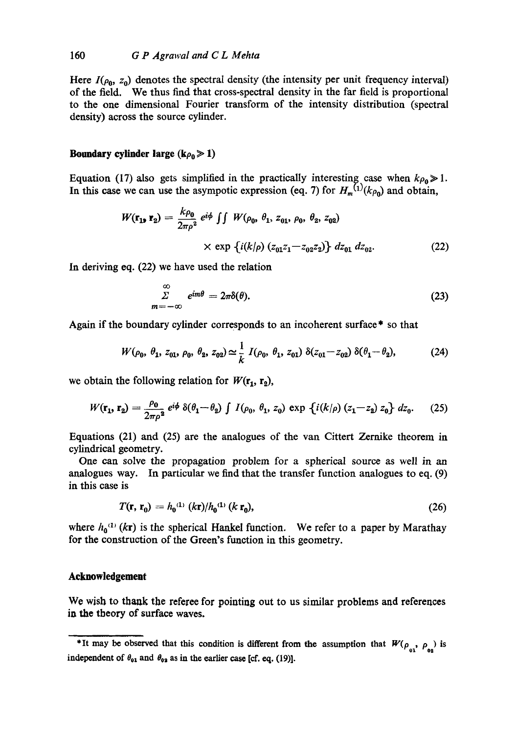Here  $I(\rho_0, z_0)$  denotes the spectral density (the intensity per unit frequency interval) of the field. We thus find that cross-spectral density in the far field is proportional to the one dimensional Fourier transform of the intensity distribution (spectral density) across the source cylinder.

#### **Boundary cylinder large (** $k\rho_0 \gg 1$ **)**

Equation (17) also gets simplified in the practically interesting case when  $k\rho_0 \gg 1$ . In this case we can use the asympotic expression (eq. 7) for  $H_m^{(1)}(k\rho_0)$  and obtain,

$$
W(\mathbf{r}_{1}, \mathbf{r}_{2}) = \frac{k\rho_{0}}{2\pi\rho^{2}} e^{i\phi} \iint W(\rho_{0}, \theta_{1}, z_{01}, \rho_{0}, \theta_{2}, z_{02}) \times \exp \{i(k/\rho) (z_{01}z_{1} - z_{02}z_{2})\} dz_{01} dz_{02}.
$$
 (22)

In deriving eq. (22) we have used the relation

$$
\sum_{m=-\infty}^{\infty} e^{im\theta} = 2\pi\delta(\theta). \tag{23}
$$

Again if the boundary cylinder corresponds to an incoherent surface\* so that

$$
W(\rho_0, \theta_1, z_{01}, \rho_0, \theta_2, z_{02}) \simeq \frac{1}{k} I(\rho_0, \theta_1, z_{01}) \, \delta(z_{01} - z_{02}) \, \delta(\theta_1 - \theta_2), \tag{24}
$$

we obtain the following relation for  $W(\mathbf{r_1}, \mathbf{r_2})$ ,

$$
W(\mathbf{r}_1, \mathbf{r}_2) = \frac{\rho_0}{2\pi\rho^2} e^{i\phi} \delta(\theta_1 - \theta_2) \int I(\rho_0, \theta_1, z_0) \exp \left\{ i(k/\rho) (z_1 - z_2) z_0 \right\} dz_0.
$$
 (25)

Equations (21) and (25) are the analogues of the van Cittert Zemike theorem in cylindrical geometry.

One can solve the propagation problem for a spherical source as well in an analogues way. In particular we find that the transfer function analogues to eq. (9) in this case is

$$
T(\mathbf{r}, \mathbf{r}_0) = h_0^{(1)} (k\mathbf{r})/h_0^{(1)} (k\mathbf{r}_0),
$$
 (26)

where  $h_0^{(1)}$  (kr) is the spherical Hankel function. We refer to a paper by Marathay for the construction of the Green's function in this geometry.

#### **Acknowledgement**

We wish to thank the referee for pointing out to us similar problems and references in the theory of surface waves.

<sup>\*</sup>It may be observed that this condition is different from the assumption that  $W(\rho_{01}, \rho_{02})$  is independent of  $\theta_{01}$  and  $\theta_{02}$  as in the earlier case [cf. eq. (19)].